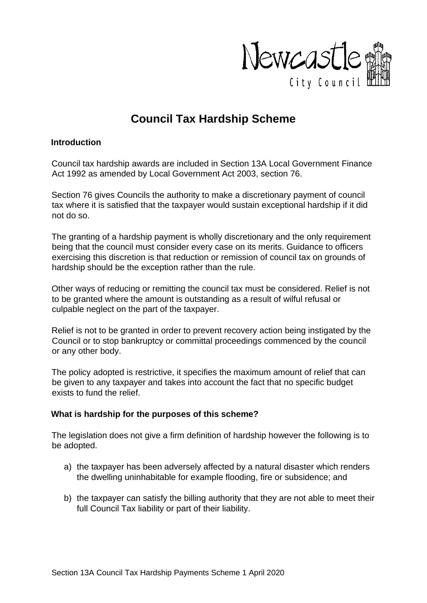

# **Council Tax Hardship Scheme**

#### **Introduction**

Council tax hardship awards are included in Section 13A Local Government Finance Act 1992 as amended by Local Government Act 2003, section 76.

Section 76 gives Councils the authority to make a discretionary payment of council tax where it is satisfied that the taxpayer would sustain exceptional hardship if it did not do so.

The granting of a hardship payment is wholly discretionary and the only requirement being that the council must consider every case on its merits. Guidance to officers exercising this discretion is that reduction or remission of council tax on grounds of hardship should be the exception rather than the rule.

Other ways of reducing or remitting the council tax must be considered. Relief is not to be granted where the amount is outstanding as a result of wilful refusal or culpable neglect on the part of the taxpayer.

Relief is not to be granted in order to prevent recovery action being instigated by the Council or to stop bankruptcy or committal proceedings commenced by the council or any other body.

The policy adopted is restrictive, it specifies the maximum amount of relief that can be given to any taxpayer and takes into account the fact that no specific budget exists to fund the relief.

## **What is hardship for the purposes of this scheme?**

The legislation does not give a firm definition of hardship however the following is to be adopted.

- a) the taxpayer has been adversely affected by a natural disaster which renders the dwelling uninhabitable for example flooding, fire or subsidence; and
- b) the taxpayer can satisfy the billing authority that they are not able to meet their full Council Tax liability or part of their liability.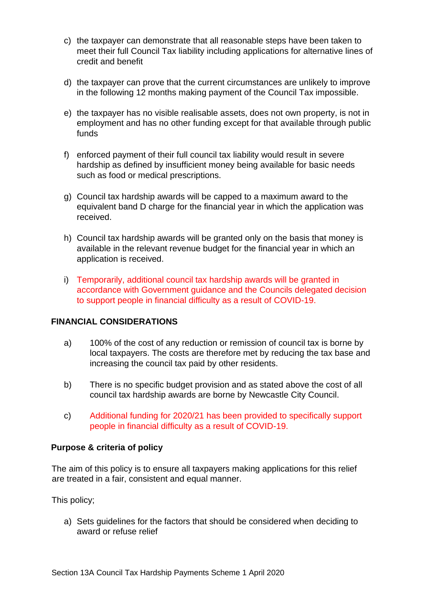- c) the taxpayer can demonstrate that all reasonable steps have been taken to meet their full Council Tax liability including applications for alternative lines of credit and benefit
- d) the taxpayer can prove that the current circumstances are unlikely to improve in the following 12 months making payment of the Council Tax impossible.
- e) the taxpayer has no visible realisable assets, does not own property, is not in employment and has no other funding except for that available through public funds
- f) enforced payment of their full council tax liability would result in severe hardship as defined by insufficient money being available for basic needs such as food or medical prescriptions.
- g) Council tax hardship awards will be capped to a maximum award to the equivalent band D charge for the financial year in which the application was received.
- h) Council tax hardship awards will be granted only on the basis that money is available in the relevant revenue budget for the financial year in which an application is received.
- i) Temporarily, additional council tax hardship awards will be granted in accordance with Government guidance and the Councils delegated decision to support people in financial difficulty as a result of COVID-19.

## **FINANCIAL CONSIDERATIONS**

- a) 100% of the cost of any reduction or remission of council tax is borne by local taxpayers. The costs are therefore met by reducing the tax base and increasing the council tax paid by other residents.
- b) There is no specific budget provision and as stated above the cost of all council tax hardship awards are borne by Newcastle City Council.
- c) Additional funding for 2020/21 has been provided to specifically support people in financial difficulty as a result of COVID-19.

## **Purpose & criteria of policy**

The aim of this policy is to ensure all taxpayers making applications for this relief are treated in a fair, consistent and equal manner.

This policy;

a) Sets guidelines for the factors that should be considered when deciding to award or refuse relief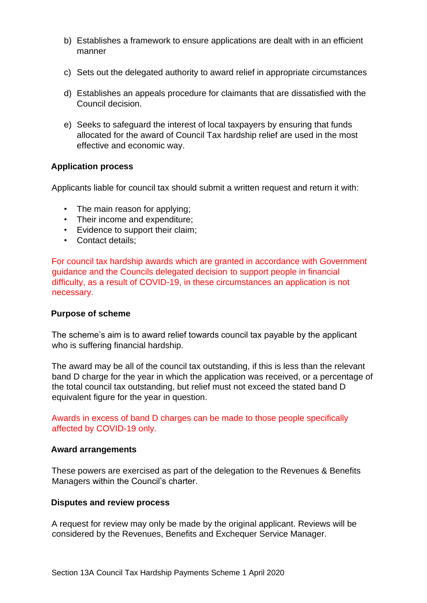- b) Establishes a framework to ensure applications are dealt with in an efficient manner
- c) Sets out the delegated authority to award relief in appropriate circumstances
- d) Establishes an appeals procedure for claimants that are dissatisfied with the Council decision.
- e) Seeks to safeguard the interest of local taxpayers by ensuring that funds allocated for the award of Council Tax hardship relief are used in the most effective and economic way.

## **Application process**

Applicants liable for council tax should submit a written request and return it with:

- The main reason for applying;
- Their income and expenditure;
- Evidence to support their claim;
- Contact details;

For council tax hardship awards which are granted in accordance with Government guidance and the Councils delegated decision to support people in financial difficulty, as a result of COVID-19, in these circumstances an application is not necessary.

## **Purpose of scheme**

The scheme's aim is to award relief towards council tax payable by the applicant who is suffering financial hardship.

The award may be all of the council tax outstanding, if this is less than the relevant band D charge for the year in which the application was received, or a percentage of the total council tax outstanding, but relief must not exceed the stated band D equivalent figure for the year in question.

Awards in excess of band D charges can be made to those people specifically affected by COVID-19 only.

#### **Award arrangements**

These powers are exercised as part of the delegation to the Revenues & Benefits Managers within the Council's charter.

#### **Disputes and review process**

A request for review may only be made by the original applicant. Reviews will be considered by the Revenues, Benefits and Exchequer Service Manager.